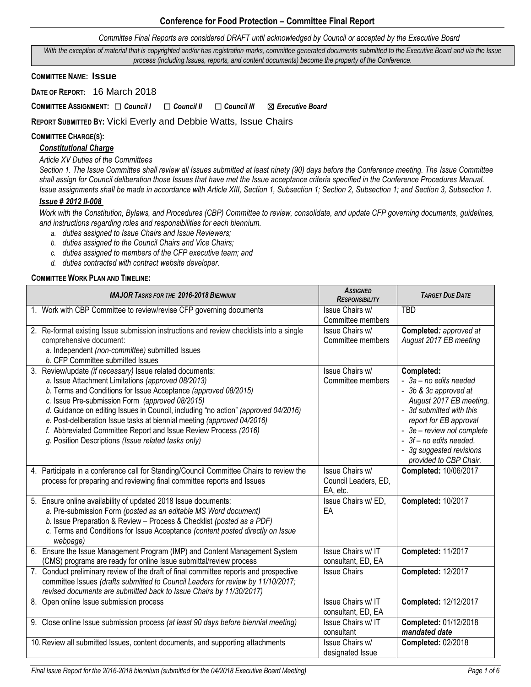*Committee Final Reports are considered DRAFT until acknowledged by Council or accepted by the Executive Board*

With the exception of material that is copyrighted and/or has registration marks, committee generated documents submitted to the Executive Board and via the Issue *process (including Issues, reports, and content documents) become the property of the Conference.*

#### **COMMITTEE NAME: Issue**

**DATE OF REPORT:** 16 March 2018

**COMMITTEE ASSIGNMENT:** ☐ *Council I* ☐ *Council II* ☐ *Council III* ☒ *Executive Board* 

**REPORT SUBMITTED BY:** Vicki Everly and Debbie Watts, Issue Chairs

#### **COMMITTEE CHARGE(S):**

### *Constitutional Charge*

#### *Article XV Duties of the Committees*

*Section 1. The Issue Committee shall review all Issues submitted at least ninety (90) days before the Conference meeting. The Issue Committee shall assign for Council deliberation those Issues that have met the Issue acceptance criteria specified in the Conference Procedures Manual. Issue assignments shall be made in accordance with Article XIII, Section 1, Subsection 1; Section 2, Subsection 1; and Section 3, Subsection 1.*

#### *Issue # 2012 II-008*

*Work with the Constitution, Bylaws, and Procedures (CBP) Committee to review, consolidate, and update CFP governing documents, guidelines, and instructions regarding roles and responsibilities for each biennium.* 

- *a. duties assigned to Issue Chairs and Issue Reviewers;*
- *b. duties assigned to the Council Chairs and Vice Chairs;*
- *c. duties assigned to members of the CFP executive team; and*
- *d. duties contracted with contract website developer.*

#### **COMMITTEE WORK PLAN AND TIMELINE:**

| <b>MAJOR TASKS FOR THE 2016-2018 BIENNIUM</b>                                                                                                                                                                                                                                                                                                                                                                                                                                                                                   | <b>ASSIGNED</b><br><b>RESPONSIBILITY</b>            | <b>TARGET DUE DATE</b>                                                                                                                                                                                                                                        |  |
|---------------------------------------------------------------------------------------------------------------------------------------------------------------------------------------------------------------------------------------------------------------------------------------------------------------------------------------------------------------------------------------------------------------------------------------------------------------------------------------------------------------------------------|-----------------------------------------------------|---------------------------------------------------------------------------------------------------------------------------------------------------------------------------------------------------------------------------------------------------------------|--|
| 1. Work with CBP Committee to review/revise CFP governing documents                                                                                                                                                                                                                                                                                                                                                                                                                                                             | Issue Chairs w/<br>Committee members                | <b>TBD</b>                                                                                                                                                                                                                                                    |  |
| 2. Re-format existing Issue submission instructions and review checklists into a single<br>comprehensive document:<br>a. Independent (non-committee) submitted Issues<br>b. CFP Committee submitted Issues                                                                                                                                                                                                                                                                                                                      | Issue Chairs w/<br>Committee members                | Completed: approved at<br>August 2017 EB meeting                                                                                                                                                                                                              |  |
| 3. Review/update (if necessary) Issue related documents:<br>a. Issue Attachment Limitations (approved 08/2013)<br>b. Terms and Conditions for Issue Acceptance (approved 08/2015)<br>c. Issue Pre-submission Form (approved 08/2015)<br>d. Guidance on editing Issues in Council, including "no action" (approved 04/2016)<br>e. Post-deliberation Issue tasks at biennial meeting (approved 04/2016)<br>f. Abbreviated Committee Report and Issue Review Process (2016)<br>g. Position Descriptions (Issue related tasks only) | Issue Chairs w/<br>Committee members                | Completed:<br>- 3a - no edits needed<br>- 3b & 3c approved at<br>August 2017 EB meeting.<br>- 3d submitted with this<br>report for EB approval<br>- 3e - review not complete<br>- 3f - no edits needed.<br>- 3g suggested revisions<br>provided to CBP Chair. |  |
| 4. Participate in a conference call for Standing/Council Committee Chairs to review the<br>process for preparing and reviewing final committee reports and Issues                                                                                                                                                                                                                                                                                                                                                               | Issue Chairs w/<br>Council Leaders, ED,<br>EA, etc. | Completed: 10/06/2017                                                                                                                                                                                                                                         |  |
| 5. Ensure online availability of updated 2018 Issue documents:<br>a. Pre-submission Form (posted as an editable MS Word document)<br>b. Issue Preparation & Review - Process & Checklist (posted as a PDF)<br>c. Terms and Conditions for Issue Acceptance (content posted directly on Issue<br>webpage)                                                                                                                                                                                                                        | Issue Chairs w/ED,<br>EA                            | Completed: 10/2017                                                                                                                                                                                                                                            |  |
| 6. Ensure the Issue Management Program (IMP) and Content Management System<br>(CMS) programs are ready for online Issue submittal/review process                                                                                                                                                                                                                                                                                                                                                                                | Issue Chairs w/ IT<br>consultant, ED, EA            | <b>Completed: 11/2017</b>                                                                                                                                                                                                                                     |  |
| 7. Conduct preliminary review of the draft of final committee reports and prospective<br>committee Issues (drafts submitted to Council Leaders for review by 11/10/2017;<br>revised documents are submitted back to Issue Chairs by 11/30/2017)                                                                                                                                                                                                                                                                                 | <b>Issue Chairs</b>                                 | <b>Completed: 12/2017</b>                                                                                                                                                                                                                                     |  |
| 8. Open online Issue submission process                                                                                                                                                                                                                                                                                                                                                                                                                                                                                         | <b>Issue Chairs w/ IT</b><br>consultant, ED, EA     | Completed: 12/12/2017                                                                                                                                                                                                                                         |  |
| 9. Close online Issue submission process (at least 90 days before biennial meeting)                                                                                                                                                                                                                                                                                                                                                                                                                                             | Issue Chairs w/ IT<br>consultant                    | Completed: 01/12/2018<br>mandated date                                                                                                                                                                                                                        |  |
| 10. Review all submitted Issues, content documents, and supporting attachments                                                                                                                                                                                                                                                                                                                                                                                                                                                  | Issue Chairs w/<br>designated Issue                 | <b>Completed: 02/2018</b>                                                                                                                                                                                                                                     |  |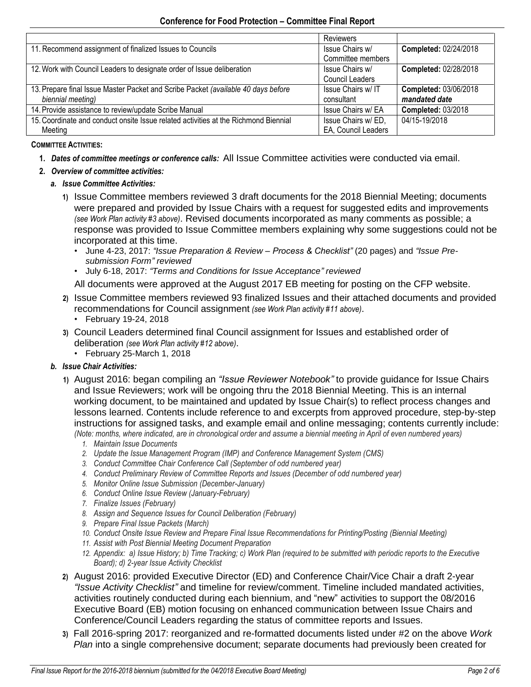|                                                                                     | Reviewers              |                           |  |
|-------------------------------------------------------------------------------------|------------------------|---------------------------|--|
| 11. Recommend assignment of finalized Issues to Councils                            | Issue Chairs w/        | Completed: 02/24/2018     |  |
|                                                                                     | Committee members      |                           |  |
| 12. Work with Council Leaders to designate order of Issue deliberation              | Issue Chairs w/        | Completed: 02/28/2018     |  |
|                                                                                     | <b>Council Leaders</b> |                           |  |
| 13. Prepare final Issue Master Packet and Scribe Packet (available 40 days before   | Issue Chairs w/ IT     | Completed: 03/06/2018     |  |
| biennial meeting)                                                                   | consultant             | mandated date             |  |
| 14. Provide assistance to review/update Scribe Manual                               | Issue Chairs w/ EA     | <b>Completed: 03/2018</b> |  |
| 15. Coordinate and conduct onsite Issue related activities at the Richmond Biennial | Issue Chairs w/ ED,    | 04/15-19/2018             |  |
| Meeting                                                                             | EA, Council Leaders    |                           |  |

**COMMITTEE ACTIVITIES:**

- **1.** *Dates of committee meetings or conference calls:* All Issue Committee activities were conducted via email.
- **2.** *Overview of committee activities:* 
	- *a. Issue Committee Activities:*
		- **1)** Issue Committee members reviewed 3 draft documents for the 2018 Biennial Meeting; documents were prepared and provided by Issue Chairs with a request for suggested edits and improvements *(see Work Plan activity #3 above)*. Revised documents incorporated as many comments as possible; a response was provided to Issue Committee members explaining why some suggestions could not be incorporated at this time.
			- June 4-23, 2017: *"Issue Preparation & Review – Process & Checklist"* (20 pages) and *"Issue Presubmission Form" reviewed*
			- July 6-18, 2017: *"Terms and Conditions for Issue Acceptance" reviewed*

All documents were approved at the August 2017 EB meeting for posting on the CFP website.

- **2)** Issue Committee members reviewed 93 finalized Issues and their attached documents and provided recommendations for Council assignment *(see Work Plan activity #11 above)*.
	- February 19-24, 2018
- **3)** Council Leaders determined final Council assignment for Issues and established order of deliberation *(see Work Plan activity #12 above)*.
	- February 25-March 1, 2018

## *b. Issue Chair Activities:*

- **1)** August 2016: began compiling an *"Issue Reviewer Notebook"* to provide guidance for Issue Chairs and Issue Reviewers; work will be ongoing thru the 2018 Biennial Meeting. This is an internal working document, to be maintained and updated by Issue Chair(s) to reflect process changes and lessons learned. Contents include reference to and excerpts from approved procedure, step-by-step instructions for assigned tasks, and example email and online messaging; contents currently include: *(Note: months, where indicated, are in chronological order and assume a biennial meeting in April of even numbered years)*
	- *1. Maintain Issue Documents*
	- *2. Update the Issue Management Program (IMP) and Conference Management System (CMS)*
	- *3. Conduct Committee Chair Conference Call (September of odd numbered year)*
	- *4. Conduct Preliminary Review of Committee Reports and Issues (December of odd numbered year)*
	- *5. Monitor Online Issue Submission (December-January)*
	- *6. Conduct Online Issue Review (January-February)*
	- *7. Finalize Issues (February)*
	- *8. Assign and Sequence Issues for Council Deliberation (February)*
	- *9. Prepare Final Issue Packets (March)*
	- *10. Conduct Onsite Issue Review and Prepare Final Issue Recommendations for Printing/Posting (Biennial Meeting)*
	- *11. Assist with Post Biennial Meeting Document Preparation*
	- *12. Appendix: a) Issue History; b) Time Tracking; c) Work Plan (required to be submitted with periodic reports to the Executive Board); d) 2-year Issue Activity Checklist*
- **2)** August 2016: provided Executive Director (ED) and Conference Chair/Vice Chair a draft 2-year *"Issue Activity Checklist"* and timeline for review/comment. Timeline included mandated activities, activities routinely conducted during each biennium, and "new" activities to support the 08/2016 Executive Board (EB) motion focusing on enhanced communication between Issue Chairs and Conference/Council Leaders regarding the status of committee reports and Issues.
- **3)** Fall 2016-spring 2017: reorganized and re-formatted documents listed under #2 on the above *Work Plan* into a single comprehensive document; separate documents had previously been created for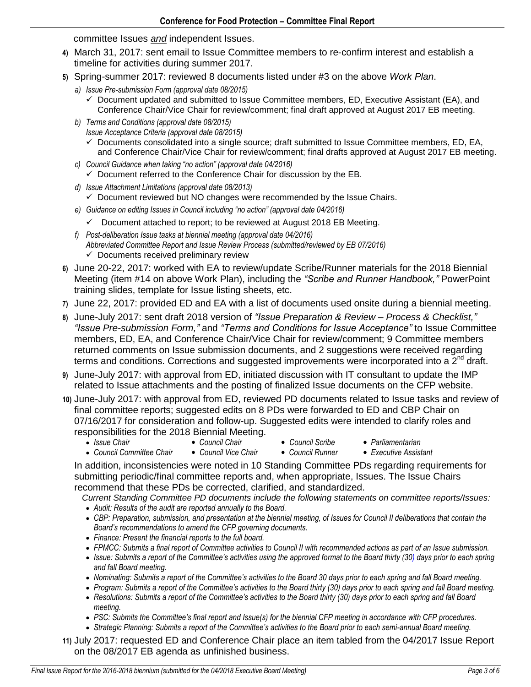committee Issues *and* independent Issues.

- **4)** March 31, 2017: sent email to Issue Committee members to re-confirm interest and establish a timeline for activities during summer 2017.
- **5)** Spring-summer 2017: reviewed 8 documents listed under #3 on the above *Work Plan*.
	- *a) Issue Pre-submission Form (approval date 08/2015)*
		- $\checkmark$  Document updated and submitted to Issue Committee members, ED, Executive Assistant (EA), and Conference Chair/Vice Chair for review/comment; final draft approved at August 2017 EB meeting.
	- *b) Terms and Conditions (approval date 08/2015) Issue Acceptance Criteria (approval date 08/2015)*
		- $\checkmark$  Documents consolidated into a single source; draft submitted to Issue Committee members, ED, EA, and Conference Chair/Vice Chair for review/comment; final drafts approved at August 2017 EB meeting.
	- *c) Council Guidance when taking "no action" (approval date 04/2016)*  $\checkmark$  Document referred to the Conference Chair for discussion by the EB.
	- *d) Issue Attachment Limitations (approval date 08/2013)*  $\checkmark$  Document reviewed but NO changes were recommended by the Issue Chairs.
	- *e) Guidance on editing Issues in Council including "no action" (approval date 04/2016)*
		- $\checkmark$  Document attached to report; to be reviewed at August 2018 EB Meeting.
	- *f) Post-deliberation Issue tasks at biennial meeting (approval date 04/2016) Abbreviated Committee Report and Issue Review Process (submitted/reviewed by EB 07/2016)*  $\checkmark$  Documents received preliminary review
- **6)** June 20-22, 2017: worked with EA to review/update Scribe/Runner materials for the 2018 Biennial Meeting (item #14 on above Work Plan), including the *"Scribe and Runner Handbook,"* PowerPoint training slides, template for Issue listing sheets, etc.
- **7)** June 22, 2017: provided ED and EA with a list of documents used onsite during a biennial meeting.
- **8)** June-July 2017: sent draft 2018 version of *"Issue Preparation & Review – Process & Checklist," "Issue Pre-submission Form,"* and *"Terms and Conditions for Issue Acceptance"* to Issue Committee members, ED, EA, and Conference Chair/Vice Chair for review/comment; 9 Committee members returned comments on Issue submission documents, and 2 suggestions were received regarding terms and conditions. Corrections and suggested improvements were incorporated into a  $2^{nd}$  draft.
- **9)** June-July 2017: with approval from ED, initiated discussion with IT consultant to update the IMP related to Issue attachments and the posting of finalized Issue documents on the CFP website.
- **10)** June-July 2017: with approval from ED, reviewed PD documents related to Issue tasks and review of final committee reports; suggested edits on 8 PDs were forwarded to ED and CBP Chair on 07/16/2017 for consideration and follow-up. Suggested edits were intended to clarify roles and responsibilities for the 2018 Biennial Meeting.
	-
	- *Issue Chair Council Chair Council Scribe Parliamentarian Council Committee Chair Council Vice Chair Council Runner Executive Assistant*
		- -
- 
- In addition, inconsistencies were noted in 10 Standing Committee PDs regarding requirements for submitting periodic/final committee reports and, when appropriate, Issues. The Issue Chairs recommend that these PDs be corrected, clarified, and standardized.
	- *Current Standing Committee PD documents include the following statements on committee reports/Issues:*
	- *Audit: Results of the audit are reported annually to the Board.*
	- *CBP: Preparation, submission, and presentation at the biennial meeting, of Issues for Council II deliberations that contain the Board's recommendations to amend the CFP governing documents.*
	- *Finance: Present the financial reports to the full board.*
	- *FPMCC: Submits a final report of Committee activities to Council II with recommended actions as part of an Issue submission.*
	- Issue: Submits a report of the Committee's activities using the approved format to the Board thirty (30) days prior to each spring *and fall Board meeting.*
	- *Nominating: Submits a report of the Committee's activities to the Board 30 days prior to each spring and fall Board meeting.*
	- *Program: Submits a report of the Committee's activities to the Board thirty (30) days prior to each spring and fall Board meeting.*
	- *Resolutions: Submits a report of the Committee's activities to the Board thirty (30) days prior to each spring and fall Board meeting.*
	- PSC: Submits the Committee's final report and Issue(s) for the biennial CFP meeting in accordance with CFP procedures.
	- *Strategic Planning: Submits a report of the Committee's activities to the Board prior to each semi-annual Board meeting.*
- **11)** July 2017: requested ED and Conference Chair place an item tabled from the 04/2017 Issue Report on the 08/2017 EB agenda as unfinished business.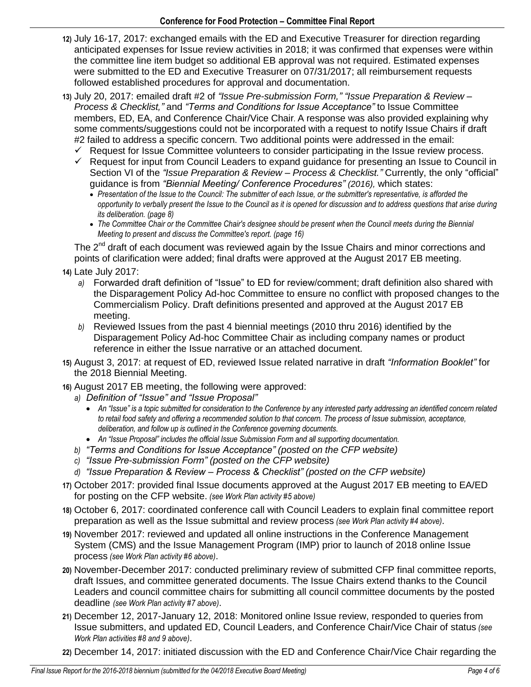## **Conference for Food Protection – Committee Final Report**

- **12)** July 16-17, 2017: exchanged emails with the ED and Executive Treasurer for direction regarding anticipated expenses for Issue review activities in 2018; it was confirmed that expenses were within the committee line item budget so additional EB approval was not required. Estimated expenses were submitted to the ED and Executive Treasurer on 07/31/2017; all reimbursement requests followed established procedures for approval and documentation.
- **13)** July 20, 2017: emailed draft #2 of *"Issue Pre-submission Form," "Issue Preparation & Review – Process & Checklist,"* and *"Terms and Conditions for Issue Acceptance"* to Issue Committee members, ED, EA, and Conference Chair/Vice Chair*.* A response was also provided explaining why some comments/suggestions could not be incorporated with a request to notify Issue Chairs if draft #2 failed to address a specific concern. Two additional points were addressed in the email:
	- $\checkmark$  Request for Issue Committee volunteers to consider participating in the Issue review process.
	- $\checkmark$  Request for input from Council Leaders to expand guidance for presenting an Issue to Council in Section VI of the *"Issue Preparation & Review – Process & Checklist."* Currently, the only "official" guidance is from *"Biennial Meeting/ Conference Procedures" (2016),* which states:
		- *Presentation of the Issue to the Council: The submitter of each Issue, or the submitter's representative, is afforded the opportunity to verbally present the Issue to the Council as it is opened for discussion and to address questions that arise during its deliberation. (page 8)*
		- The Committee Chair or the Committee Chair's designee should be present when the Council meets during the Biennial *Meeting to present and discuss the Committee's report. (page 16)*

The  $2^{nd}$  draft of each document was reviewed again by the Issue Chairs and minor corrections and points of clarification were added; final drafts were approved at the August 2017 EB meeting.

- **14)** Late July 2017:
	- *a)* Forwarded draft definition of "Issue" to ED for review/comment; draft definition also shared with the Disparagement Policy Ad-hoc Committee to ensure no conflict with proposed changes to the Commercialism Policy. Draft definitions presented and approved at the August 2017 EB meeting.
	- *b)* Reviewed Issues from the past 4 biennial meetings (2010 thru 2016) identified by the Disparagement Policy Ad-hoc Committee Chair as including company names or product reference in either the Issue narrative or an attached document.
- **15)** August 3, 2017: at request of ED, reviewed Issue related narrative in draft *"Information Booklet"* for the 2018 Biennial Meeting.
- **16)** August 2017 EB meeting, the following were approved:
	- *a) Definition of "Issue" and "Issue Proposal"*
		- An "Issue" is a topic submitted for consideration to the Conference by any interested party addressing an identified concern related *to retail food safety and offering a recommended solution to that concern. The process of Issue submission, acceptance, deliberation, and follow up is outlined in the Conference governing documents*.
		- *An "Issue Proposal" includes the official Issue Submission Form and all supporting documentation.*
	- *b) "Terms and Conditions for Issue Acceptance" (posted on the CFP website)*
	- *c) "Issue Pre-submission Form" (posted on the CFP website)*
	- *d) "Issue Preparation & Review – Process & Checklist" (posted on the CFP website)*
- **17)** October 2017: provided final Issue documents approved at the August 2017 EB meeting to EA/ED for posting on the CFP website. *(see Work Plan activity #5 above)*
- **18)** October 6, 2017: coordinated conference call with Council Leaders to explain final committee report preparation as well as the Issue submittal and review process *(see Work Plan activity #4 above)*.
- **19)** November 2017: reviewed and updated all online instructions in the Conference Management System (CMS) and the Issue Management Program (IMP) prior to launch of 2018 online Issue process *(see Work Plan activity #6 above)*.
- **20)** November-December 2017: conducted preliminary review of submitted CFP final committee reports, draft Issues, and committee generated documents. The Issue Chairs extend thanks to the Council Leaders and council committee chairs for submitting all council committee documents by the posted deadline *(see Work Plan activity #7 above)*.
- **21)** December 12, 2017-January 12, 2018: Monitored online Issue review, responded to queries from Issue submitters, and updated ED, Council Leaders, and Conference Chair/Vice Chair of status *(see Work Plan activities #8 and 9 above)*.
- **22)** December 14, 2017: initiated discussion with the ED and Conference Chair/Vice Chair regarding the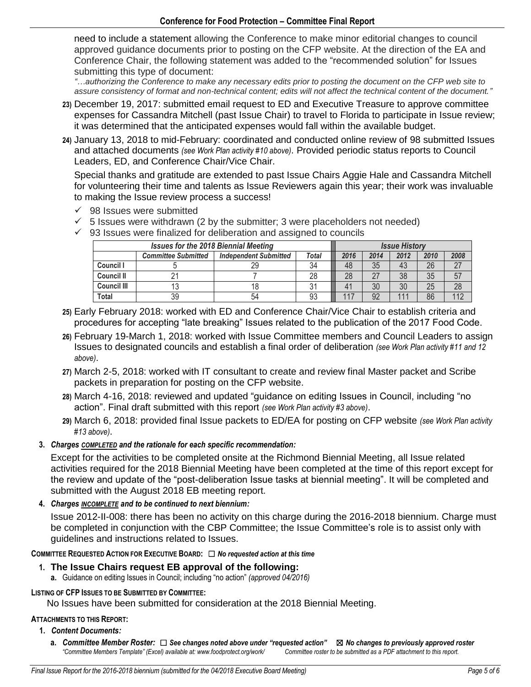need to include a statement allowing the Conference to make minor editorial changes to council approved guidance documents prior to posting on the CFP website. At the direction of the EA and Conference Chair, the following statement was added to the "recommended solution" for Issues submitting this type of document:

*"…authorizing the Conference to make any necessary edits prior to posting the document on the CFP web site to assure consistency of format and non-technical content; edits will not affect the technical content of the document."*

- **23)** December 19, 2017: submitted email request to ED and Executive Treasure to approve committee expenses for Cassandra Mitchell (past Issue Chair) to travel to Florida to participate in Issue review; it was determined that the anticipated expenses would fall within the available budget.
- **24)** January 13, 2018 to mid-February: coordinated and conducted online review of 98 submitted Issues and attached documents *(see Work Plan activity #10 above)*. Provided periodic status reports to Council Leaders, ED, and Conference Chair/Vice Chair.

Special thanks and gratitude are extended to past Issue Chairs Aggie Hale and Cassandra Mitchell for volunteering their time and talents as Issue Reviewers again this year; their work was invaluable to making the Issue review process a success!

- $\checkmark$  98 Issues were submitted
- $\checkmark$  5 Issues were withdrawn (2 by the submitter; 3 were placeholders not needed)
- $\checkmark$  93 Issues were finalized for deliberation and assigned to councils

| <b>Issues for the 2018 Biennial Meeting</b> |                            |                              | <b>Issue History</b> |          |      |      |      |      |
|---------------------------------------------|----------------------------|------------------------------|----------------------|----------|------|------|------|------|
|                                             | <b>Committee Submitted</b> | <b>Independent Submitted</b> | Total                | 2016     | 2014 | 2012 | 2010 | 2008 |
| Council I                                   |                            |                              | 34                   | 48       | 35   | 43   | 26   |      |
| Council II                                  |                            |                              | 28                   | 28       |      | 38   | 35   | 57   |
| <b>Council III</b>                          |                            |                              |                      | 41       | 30   | 30   | 25   | 28   |
| Total                                       | 39                         | 54                           | 93                   | $11^{7}$ | 92   | 111  | 86   | 110  |

- **25)** Early February 2018: worked with ED and Conference Chair/Vice Chair to establish criteria and procedures for accepting "late breaking" Issues related to the publication of the 2017 Food Code.
- **26)** February 19-March 1, 2018: worked with Issue Committee members and Council Leaders to assign Issues to designated councils and establish a final order of deliberation *(see Work Plan activity #11 and 12 above)*.
- **27)** March 2-5, 2018: worked with IT consultant to create and review final Master packet and Scribe packets in preparation for posting on the CFP website.
- **28)** March 4-16, 2018: reviewed and updated "guidance on editing Issues in Council, including "no action". Final draft submitted with this report *(see Work Plan activity #3 above)*.
- **29)** March 6, 2018: provided final Issue packets to ED/EA for posting on CFP website *(see Work Plan activity #13 above)*.
- **3.** *Charges COMPLETED and the rationale for each specific recommendation:*

Except for the activities to be completed onsite at the Richmond Biennial Meeting, all Issue related activities required for the 2018 Biennial Meeting have been completed at the time of this report except for the review and update of the "post-deliberation Issue tasks at biennial meeting". It will be completed and submitted with the August 2018 EB meeting report.

**4.** *Charges INCOMPLETE and to be continued to next biennium:*

Issue 2012-II-008: there has been no activity on this charge during the 2016-2018 biennium. Charge must be completed in conjunction with the CBP Committee; the Issue Committee's role is to assist only with guidelines and instructions related to Issues.

**COMMITTEE REQUESTED ACTION FOR EXECUTIVE BOARD:** ☐ *No requested action at this time*

## **1. The Issue Chairs request EB approval of the following:**

**a.** Guidance on editing Issues in Council; including "no action" *(approved 04/2016)*

## **LISTING OF CFP ISSUES TO BE SUBMITTED BY COMMITTEE:**

No Issues have been submitted for consideration at the 2018 Biennial Meeting.

## **ATTACHMENTS TO THIS REPORT:**

- **1.** *Content Documents:*
	- **a.** *Committee Member Roster:* ☐ *See changes noted above under "requested action"* ☒ *No changes to previously approved roster "Committee Members Template" (Excel) available at: www.foodprotect.org/work/ Committee roster to be submitted as a PDF attachment to this report.*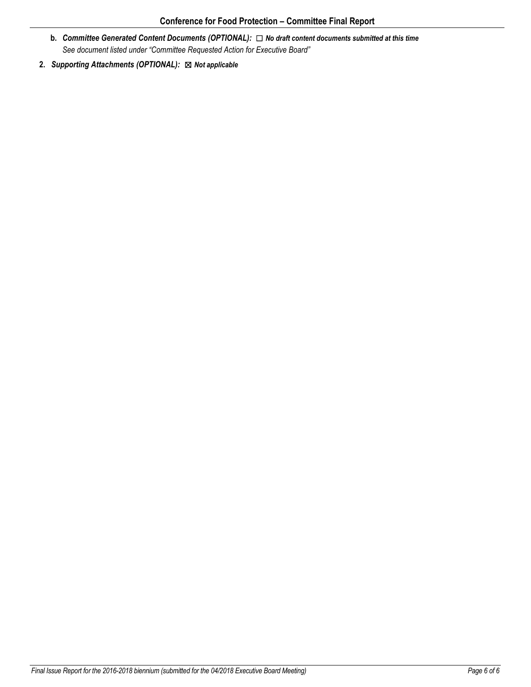- **b.** *Committee Generated Content Documents (OPTIONAL):* ☐ *No draft content documents submitted at this time See document listed under "Committee Requested Action for Executive Board"*
- **2.** *Supporting Attachments (OPTIONAL):* ☒ *Not applicable*